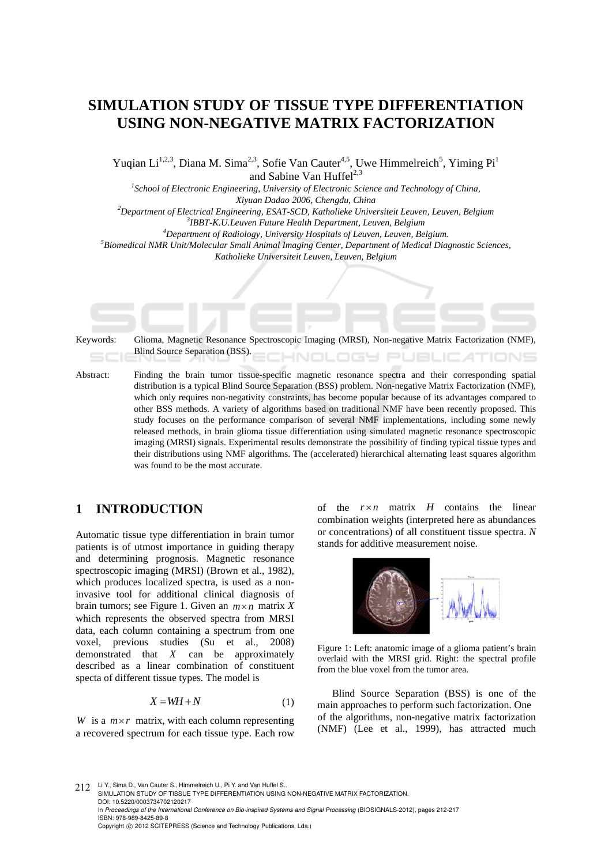# **SIMULATION STUDY OF TISSUE TYPE DIFFERENTIATION USING NON-NEGATIVE MATRIX FACTORIZATION**

Yuqian Li<sup>1,2,3</sup>, Diana M. Sima<sup>2,3</sup>, Sofie Van Cauter<sup>4,5</sup>, Uwe Himmelreich<sup>5</sup>, Yiming Pi<sup>1</sup> and Sabine Van Huffel<sup>2,3</sup>

<sup>1</sup> School of Electronic Engineering, University of Electronic Science and Technology of China, *Xiyuan Dadao 2006, Chengdu, China 2*

*Department of Electrical Engineering, ESAT-SCD, Katholieke Universiteit Leuven, Leuven, Belgium 3*

<sup>3</sup>IBBT-K.U.Leuven Future Health Department, Leuven, Belgium

<sup>4</sup>Department of Radiology, University Hospitals of Leuven, Leuven, Belgium.

*Biomedical NMR Unit/Molecular Small Animal Imaging Center, Department of Medical Diagnostic Sciences, Katholieke Universiteit Leuven, Leuven, Belgium* 

| Keywords: | Glioma, Magnetic Resonance Spectroscopic Imaging (MRSI), Non-negative Matrix Factorization (NMF),<br>Blind Source Separation (BSS).                                                                                                                                                                                                                                                                                                                                                                                                                                                                                                                                                                                                                                                                                                                                                                                         |
|-----------|-----------------------------------------------------------------------------------------------------------------------------------------------------------------------------------------------------------------------------------------------------------------------------------------------------------------------------------------------------------------------------------------------------------------------------------------------------------------------------------------------------------------------------------------------------------------------------------------------------------------------------------------------------------------------------------------------------------------------------------------------------------------------------------------------------------------------------------------------------------------------------------------------------------------------------|
| Abstract: | Finding the brain tumor tissue-specific magnetic resonance spectra and their corresponding spatial<br>distribution is a typical Blind Source Separation (BSS) problem. Non-negative Matrix Factorization (NMF),<br>which only requires non-negativity constraints, has become popular because of its advantages compared to<br>other BSS methods. A variety of algorithms based on traditional NMF have been recently proposed. This<br>study focuses on the performance comparison of several NMF implementations, including some newly<br>released methods, in brain glioma tissue differentiation using simulated magnetic resonance spectroscopic<br>imaging (MRSI) signals. Experimental results demonstrate the possibility of finding typical tissue types and<br>their distributions using NMF algorithms. The (accelerated) hierarchical alternating least squares algorithm<br>was found to be the most accurate. |

# **1 INTRODUCTION**

Automatic tissue type differentiation in brain tumor patients is of utmost importance in guiding therapy and determining prognosis. Magnetic resonance spectroscopic imaging (MRSI) (Brown et al., 1982), which produces localized spectra, is used as a noninvasive tool for additional clinical diagnosis of brain tumors; see Figure 1. Given an  $m \times n$  matrix X which represents the observed spectra from MRSI data, each column containing a spectrum from one voxel, previous studies (Su et al., 2008) demonstrated that *X* can be approximately described as a linear combination of constituent specta of different tissue types. The model is

$$
X = WH + N \tag{1}
$$

*W* is a  $m \times r$  matrix, with each column representing a recovered spectrum for each tissue type. Each row of the  $r \times n$  matrix *H* contains the linear combination weights (interpreted here as abundances or concentrations) of all constituent tissue spectra. *N* stands for additive measurement noise.



Figure 1: Left: anatomic image of a glioma patient's brain overlaid with the MRSI grid. Right: the spectral profile from the blue voxel from the tumor area.

Blind Source Separation (BSS) is one of the main approaches to perform such factorization. One of the algorithms, non-negative matrix factorization (NMF) (Lee et al., 1999), has attracted much

212 Li Y., Sima D., Van Cauter S., Himmelreich U., Pi Y. and Van Huffel S. SIMULATION STUDY OF TISSUE TYPE DIFFERENTIATION USING NON-NEGATIVE MATRIX FACTORIZATION. DOI: 10.5220/0003734702120217 In *Proceedings of the International Conference on Bio-inspired Systems and Signal Processing* (BIOSIGNALS-2012), pages 212-217 ISBN: 978-989-8425-89-8 Copyright © 2012 SCITEPRESS (Science and Technology Publications, Lda.)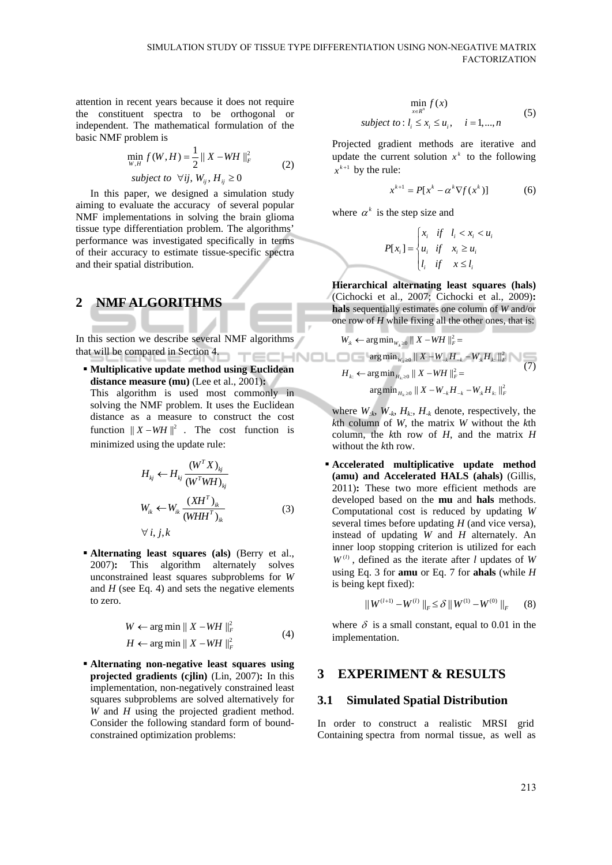attention in recent years because it does not require the constituent spectra to be orthogonal or independent. The mathematical formulation of the basic NMF problem is

$$
\min_{W,H} f(W,H) = \frac{1}{2} ||X - WH||_F^2
$$
  
subject to  $\forall ij, W_{ij}, H_{ij} \ge 0$  (2)

In this paper, we designed a simulation study aiming to evaluate the accuracy of several popular NMF implementations in solving the brain glioma tissue type differentiation problem. The algorithms' performance was investigated specifically in terms of their accuracy to estimate tissue-specific spectra and their spatial distribution.

# **2 NMF ALGORITHMS**

In this section we describe several NMF algorithms that will be compared in Section 4.

 **Multiplicative update method using Euclidean distance measure (mu)** (Lee et al., 2001)**:**

This algorithm is used most commonly in solving the NMF problem. It uses the Euclidean distance as a measure to construct the cost function  $|| X - WH ||^2$ . The cost function is minimized using the update rule:

$$
H_{kj} \leftarrow H_{kj} \frac{(W^T X)_{kj}}{(W^T W H)_{kj}}
$$
  

$$
W_{ik} \leftarrow W_{ik} \frac{(X H^T)_{ik}}{(W H H^T)_{ik}}
$$
 (3)

$$
\forall\,i,j,k
$$

 **Alternating least squares (als)** (Berry et al., 2007)**:** This algorithm alternately solves unconstrained least squares subproblems for *W* and  $H$  (see Eq. 4) and sets the negative elements to zero.

$$
W \leftarrow \arg\min \|X - WH\|_F^2
$$
  
\n
$$
H \leftarrow \arg\min \|X - WH\|_F^2
$$
 (4)

 **Alternating non-negative least squares using projected gradients (cjlin)** (Lin, 2007)**:** In this implementation, non-negatively constrained least squares subproblems are solved alternatively for *W* and *H* using the projected gradient method. Consider the following standard form of boundconstrained optimization problems:

$$
\min_{x \in R^n} f(x)
$$
  
subject to:  $l_i \le x_i \le u_i$ ,  $i = 1,...,n$  (5)

Projected gradient methods are iterative and update the current solution  $x^k$  to the following  $x^{k+1}$  by the rule:

$$
x^{k+1} = P[x^k - \alpha^k \nabla f(x^k)] \tag{6}
$$

where  $\alpha^k$  is the step size and

$$
P[x_i] = \begin{cases} x_i & \text{if } l_i < x_i < u_i \\ u_i & \text{if } x_i \ge u_i \\ l_i & \text{if } x \le l_i \end{cases}
$$

**Hierarchical alternating least squares (hals)**  (Cichocki et al., 2007; Cichocki et al., 2009)**: hals** sequentially estimates one column of *W* and/or one row of *H* while fixing all the other ones, that is:

$$
W_{k} \leftarrow \arg\min_{W_{k} \ge 0} \|X - WH\|_{F}^{2} =
$$
  
\n
$$
\arg\min_{W_{k} \ge 0} \|X - W_{-k}H_{-k} - W_{k}H_{k}\|_{F}^{2}
$$
  
\n
$$
H_{k} \leftarrow \arg\min_{H_{k} \ge 0} \|X - WH\|_{F}^{2} =
$$
  
\n
$$
\arg\min_{H_{k} \ge 0} \|X - W_{-k}H_{-k} - W_{k}H_{k}\|_{F}^{2}
$$
  
\n(7)

where  $W_{ik}$ ,  $W_{-k}$ ,  $H_{k}$ ,  $H_{-k}$  denote, respectively, the *k*th column of *W*, the matrix *W* without the *k*th column, the *k*th row of *H*, and the matrix *H* without the *k*th row.

 **Accelerated multiplicative update method (amu) and Accelerated HALS (ahals)** (Gillis, 2011)**:** These two more efficient methods are developed based on the **mu** and **hals** methods. Computational cost is reduced by updating *W*  several times before updating *H* (and vice versa), instead of updating *W* and *H* alternately. An inner loop stopping criterion is utilized for each  $W^{(l)}$ , defined as the iterate after *l* updates of *W* using Eq. 3 for **amu** or Eq. 7 for **ahals** (while *H* is being kept fixed):

$$
||W^{(l+1)} - W^{(l)}||_F \le \delta ||W^{(1)} - W^{(0)}||_F \qquad (8)
$$

where  $\delta$  is a small constant, equal to 0.01 in the implementation.

# **3 EXPERIMENT & RESULTS**

#### **3.1 Simulated Spatial Distribution**

In order to construct a realistic MRSI grid Containing spectra from normal tissue, as well as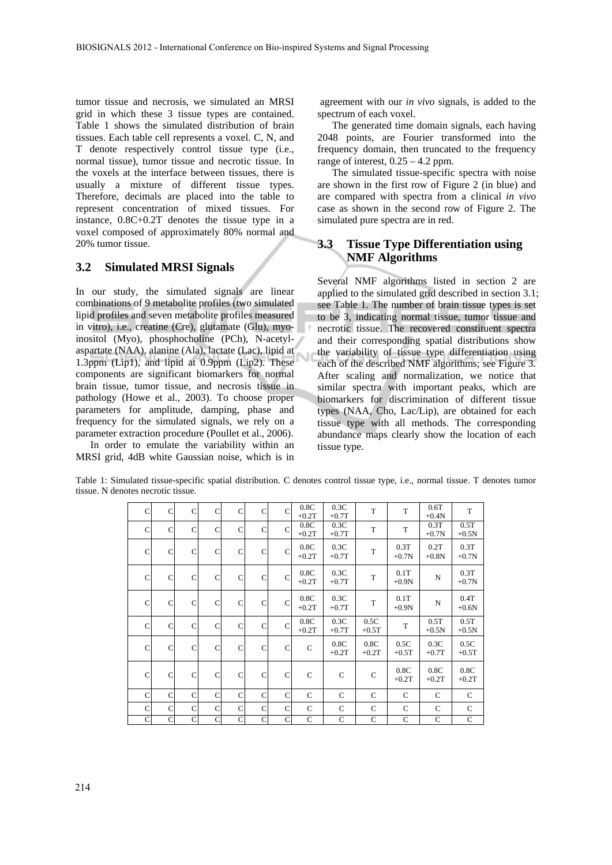tumor tissue and necrosis, we simulated an MRSI grid in which these 3 tissue types are contained. Table 1 shows the simulated distribution of brain tissues. Each table cell represents a voxel. C, N, and T denote respectively control tissue type (i.e., normal tissue), tumor tissue and necrotic tissue. In the voxels at the interface between tissues, there is usually a mixture of different tissue types. Therefore, decimals are placed into the table to represent concentration of mixed tissues. For instance, 0.8C+0.2T denotes the tissue type in a voxel composed of approximately 80% normal and 20% tumor tissue.

#### **3.2 Simulated MRSI Signals**

In our study, the simulated signals are linear combinations of 9 metabolite profiles (two simulated lipid profiles and seven metabolite profiles measured in vitro), i.e., creatine (Cre), glutamate (Glu), myoinositol (Myo), phosphocholine (PCh), N-acetylaspartate (NAA), alanine (Ala), lactate (Lac), lipid at 1.3ppm (Lip1), and lipid at 0.9ppm (Lip2). These components are significant biomarkers for normal brain tissue, tumor tissue, and necrosis tissue in pathology (Howe et al., 2003). To choose proper parameters for amplitude, damping, phase and frequency for the simulated signals, we rely on a parameter extraction procedure (Poullet et al., 2006).

In order to emulate the variability within an MRSI grid, 4dB white Gaussian noise, which is in

 agreement with our *in vivo* signals, is added to the spectrum of each voxel.

The generated time domain signals, each having 2048 points, are Fourier transformed into the frequency domain, then truncated to the frequency range of interest,  $0.25 - 4.2$  ppm.

The simulated tissue-specific spectra with noise are shown in the first row of Figure 2 (in blue) and are compared with spectra from a clinical *in vivo* case as shown in the second row of Figure 2. The simulated pure spectra are in red.

#### **3.3 Tissue Type Differentiation using NMF Algorithms**

Several NMF algorithms listed in section 2 are applied to the simulated grid described in section 3.1; see Table 1. The number of brain tissue types is set to be 3, indicating normal tissue, tumor tissue and necrotic tissue. The recovered constituent spectra and their corresponding spatial distributions show the variability of tissue type differentiation using each of the described NMF algorithms; see Figure 3. After scaling and normalization, we notice that similar spectra with important peaks, which are biomarkers for discrimination of different tissue types (NAA, Cho, Lac/Lip), are obtained for each tissue type with all methods. The corresponding abundance maps clearly show the location of each tissue type.

|  |              |              | $\mathsf{C}$ | C             |              | C             | $\mathsf{C}$ | 0.8C            | 0.3C            | T              | T               | 0.6T          | T               |  |  |  |  |  |  |  |  |  |  |  |  |  |  |         |         |         |         |
|--|--------------|--------------|--------------|---------------|--------------|---------------|--------------|-----------------|-----------------|----------------|-----------------|---------------|-----------------|--|--|--|--|--|--|--|--|--|--|--|--|--|--|---------|---------|---------|---------|
|  | $\mathsf{C}$ | C            |              |               | $\mathsf{C}$ |               |              | $+0.2T$         | $+0.7T$         |                |                 | $+0.4N$       |                 |  |  |  |  |  |  |  |  |  |  |  |  |  |  |         |         |         |         |
|  | C            | C            | $\mathbf C$  | $\mathsf{C}$  | $\mathsf{C}$ | $\mathsf{C}$  | $\mathbf C$  | 0.8C            | 0.3C            | T              | T               | 0.3T          | 0.5T            |  |  |  |  |  |  |  |  |  |  |  |  |  |  |         |         |         |         |
|  |              |              |              |               |              |               |              | $+0.2T$         | $+0.7T$         |                |                 | $+0.7N$       | $+0.5N$         |  |  |  |  |  |  |  |  |  |  |  |  |  |  |         |         |         |         |
|  | $\mathsf{C}$ | C            | $\mathsf{C}$ | $\mathsf{C}$  | $\mathsf{C}$ | C             | $\mathsf{C}$ | 0.8C            | 0.3C            | T              | 0.3T            | 0.2T          | 0.3T            |  |  |  |  |  |  |  |  |  |  |  |  |  |  |         |         |         |         |
|  |              |              |              |               |              |               |              | $+0.2T$         | $+0.7T$         |                | $+0.7N$         | $+0.8N$       | $+0.7N$         |  |  |  |  |  |  |  |  |  |  |  |  |  |  |         |         |         |         |
|  |              | C            |              | $\mathsf{C}$  |              |               |              | 0.8C            | 0.3C            |                | 0.1T            |               | 0.3T            |  |  |  |  |  |  |  |  |  |  |  |  |  |  |         |         |         |         |
|  | $\mathsf{C}$ |              | $\mathsf{C}$ |               | $\mathbf C$  | $\mathsf{C}$  | $\mathbf C$  | $+0.2T$         | T<br>$+0.7T$    | $+0.9N$        | $\mathbf N$     | $+0.7N$       |                 |  |  |  |  |  |  |  |  |  |  |  |  |  |  |         |         |         |         |
|  |              |              |              |               |              |               |              |                 |                 |                |                 |               |                 |  |  |  |  |  |  |  |  |  |  |  |  |  |  |         |         |         |         |
|  | $\mathsf{C}$ | $\mathbf C$  | $\mathsf{C}$ | $\mathsf{C}$  | $\mathbf C$  | $\mathbf C$   | $\mathbf C$  | 0.8C<br>$+0.2T$ | 0.3C<br>$+0.7T$ | T              | 0.1T<br>$+0.9N$ | N             | 0.4T<br>$+0.6N$ |  |  |  |  |  |  |  |  |  |  |  |  |  |  |         |         |         |         |
|  |              |              |              |               |              |               |              |                 |                 |                |                 |               |                 |  |  |  |  |  |  |  |  |  |  |  |  |  |  |         |         |         |         |
|  | $\mathsf{C}$ | $\mathbf C$  | C            | $\mathsf{C}$  | $\mathbf C$  | $\mathsf{C}$  | C            | 0.8C            | 0.3C            | 0.5C           | T               | 0.5T          | 0.5T            |  |  |  |  |  |  |  |  |  |  |  |  |  |  |         |         |         |         |
|  |              |              |              |               |              |               |              | $+0.2T$         | $+0.7T$         | $+0.5T$        |                 | $+0.5N$       | $+0.5N$         |  |  |  |  |  |  |  |  |  |  |  |  |  |  |         |         |         |         |
|  | $\mathsf{C}$ | $\mathsf{C}$ | $\mathsf{C}$ | $\mathbf C$   | $\mathbf C$  | $\mathbf C$   | $\mathsf{C}$ | $\mathbf C$     | 0.8C            | 0.8C           | 0.5C            | 0.3C          | 0.5C            |  |  |  |  |  |  |  |  |  |  |  |  |  |  |         |         |         |         |
|  |              |              |              |               |              |               |              |                 |                 |                |                 |               |                 |  |  |  |  |  |  |  |  |  |  |  |  |  |  | $+0.2T$ | $+0.2T$ | $+0.5T$ | $+0.7T$ |
|  |              |              |              |               |              |               |              |                 |                 |                | 0.8C            | 0.8C          | 0.8C            |  |  |  |  |  |  |  |  |  |  |  |  |  |  |         |         |         |         |
|  | $\mathsf{C}$ | $\mathsf{C}$ | $\mathbf C$  | $\mathcal{C}$ | $\mathbf C$  | $\mathcal{C}$ | $\mathsf{C}$ | $\mathbf C$     | $\mathsf{C}$    | $\mathsf{C}$   | $+0.2T$         | $+0.2T$       | $+0.2T$         |  |  |  |  |  |  |  |  |  |  |  |  |  |  |         |         |         |         |
|  |              |              |              |               |              |               |              |                 |                 |                |                 |               |                 |  |  |  |  |  |  |  |  |  |  |  |  |  |  |         |         |         |         |
|  | $\mathsf{C}$ | $\mathbf C$  | $\mathsf{C}$ | $\mathsf{C}$  | $\mathbf C$  | $\mathcal{C}$ | $\mathsf{C}$ | $\mathbf C$     | $\mathbf C$     | $\mathsf{C}$   | $\mathcal{C}$   | $\mathcal{C}$ | $\mathbf C$     |  |  |  |  |  |  |  |  |  |  |  |  |  |  |         |         |         |         |
|  | C            | $\mathbf C$  | C            | $\mathbf C$   | $\mathbf C$  | $\mathsf{C}$  | $\mathbf C$  | $\mathsf{C}$    | C               | $\mathsf{C}$   | $\mathsf{C}$    | C             | $\mathbf C$     |  |  |  |  |  |  |  |  |  |  |  |  |  |  |         |         |         |         |
|  | $\mathbf C$  | $\mathbf C$  | $\mathbf C$  | $\mathsf{C}$  | $\mathbf C$  | $\mathbf C$   | C            | $\mathbf C$     | $\mathsf{C}$    | $\overline{C}$ | $\mathbf C$     | $\mathsf{C}$  | $\overline{C}$  |  |  |  |  |  |  |  |  |  |  |  |  |  |  |         |         |         |         |

Table 1: Simulated tissue-specific spatial distribution. C denotes control tissue type, i.e., normal tissue. T denotes tumor tissue. N denotes necrotic tissue.

Ū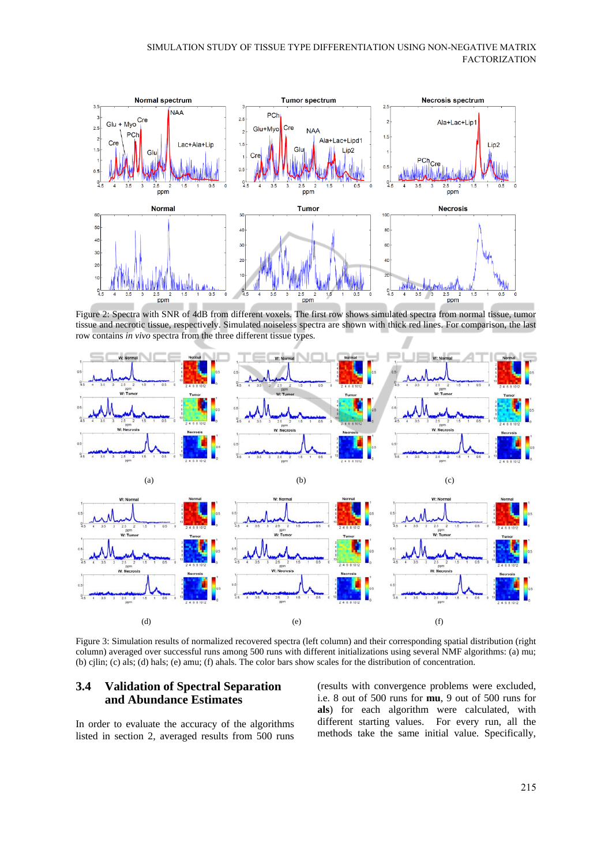

Figure 2: Spectra with SNR of 4dB from different voxels. The first row shows simulated spectra from normal tissue, tumor tissue and necrotic tissue, respectively. Simulated noiseless spectra are shown with thick red lines. For comparison, the last row contains *in vivo* spectra from the three different tissue types.



Figure 3: Simulation results of normalized recovered spectra (left column) and their corresponding spatial distribution (right column) averaged over successful runs among 500 runs with different initializations using several NMF algorithms: (a) mu; (b) cjlin; (c) als; (d) hals; (e) amu; (f) ahals. The color bars show scales for the distribution of concentration.

#### **3.4 Validation of Spectral Separation and Abundance Estimates**

In order to evaluate the accuracy of the algorithms listed in section 2, averaged results from 500 runs (results with convergence problems were excluded, i.e. 8 out of 500 runs for **mu**, 9 out of 500 runs for **als**) for each algorithm were calculated, with different starting values. For every run, all the methods take the same initial value. Specifically,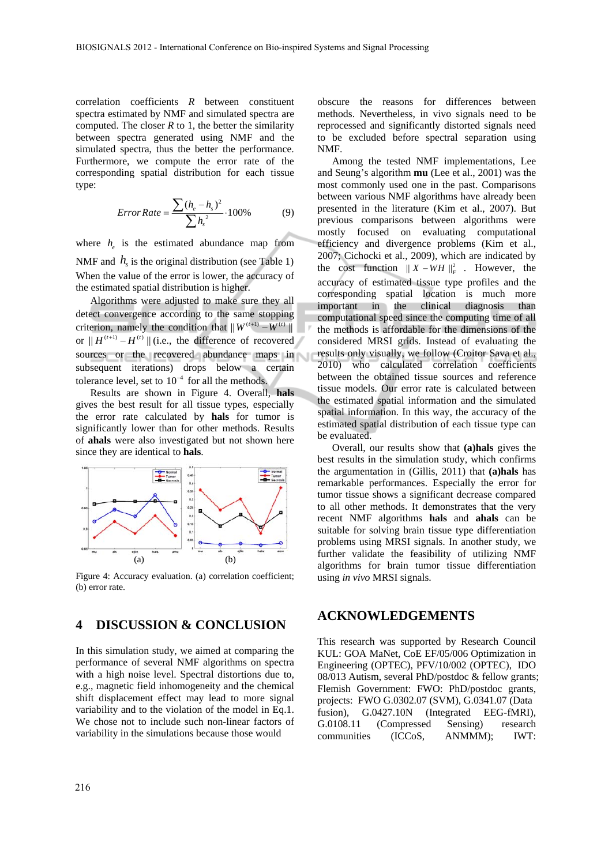correlation coefficients *R* between constituent spectra estimated by NMF and simulated spectra are computed. The closer  $R$  to 1, the better the similarity between spectra generated using NMF and the simulated spectra, thus the better the performance. Furthermore, we compute the error rate of the corresponding spatial distribution for each tissue type:

$$
Error Rate = \frac{\sum (h_e - h_s)^2}{\sum h_s^2} \cdot 100\% \tag{9}
$$

where  $h_{\rho}$  is the estimated abundance map from NMF and  $h<sub>s</sub>$  is the original distribution (see Table 1) When the value of the error is lower, the accuracy of the estimated spatial distribution is higher.

Algorithms were adjusted to make sure they all detect convergence according to the same stopping criterion, namely the condition that  $|| W^{(t+1)} - W^{(t)} ||$ or  $|| H^{(t+1)} - H^{(t)} ||$  (i.e., the difference of recovered sources or the recovered abundance maps in subsequent iterations) drops below a certain tolerance level, set to  $10^{-4}$  for all the methods.

Results are shown in Figure 4. Overall, **hals** gives the best result for all tissue types, especially the error rate calculated by **hals** for tumor is significantly lower than for other methods. Results of **ahals** were also investigated but not shown here since they are identical to **hals**.



Figure 4: Accuracy evaluation. (a) correlation coefficient; (b) error rate.

### **4 DISCUSSION & CONCLUSION**

In this simulation study, we aimed at comparing the performance of several NMF algorithms on spectra with a high noise level. Spectral distortions due to, e.g., magnetic field inhomogeneity and the chemical shift displacement effect may lead to more signal variability and to the violation of the model in Eq.1. We chose not to include such non-linear factors of variability in the simulations because those would

obscure the reasons for differences between methods. Nevertheless, in vivo signals need to be reprocessed and significantly distorted signals need to be excluded before spectral separation using NMF.

Among the tested NMF implementations, Lee and Seung's algorithm **mu** (Lee et al., 2001) was the most commonly used one in the past. Comparisons between various NMF algorithms have already been presented in the literature (Kim et al., 2007). But previous comparisons between algorithms were mostly focused on evaluating computational efficiency and divergence problems (Kim et al., 2007; Cichocki et al., 2009), which are indicated by the cost function  $|| X - WH ||_F^2$ . However, the accuracy of estimated tissue type profiles and the corresponding spatial location is much more important in the clinical diagnosis than computational speed since the computing time of all the methods is affordable for the dimensions of the considered MRSI grids. Instead of evaluating the results only visually, we follow (Croitor Sava et al., 2010) who calculated correlation coefficients between the obtained tissue sources and reference tissue models. Our error rate is calculated between the estimated spatial information and the simulated spatial information. In this way, the accuracy of the estimated spatial distribution of each tissue type can be evaluated.

Overall, our results show that **(a)hals** gives the best results in the simulation study, which confirms the argumentation in (Gillis, 2011) that **(a)hals** has remarkable performances. Especially the error for tumor tissue shows a significant decrease compared to all other methods. It demonstrates that the very recent NMF algorithms **hals** and **ahals** can be suitable for solving brain tissue type differentiation problems using MRSI signals. In another study, we further validate the feasibility of utilizing NMF algorithms for brain tumor tissue differentiation using *in vivo* MRSI signals.

#### **ACKNOWLEDGEMENTS**

This research was supported by Research Council KUL: GOA MaNet, CoE EF/05/006 Optimization in Engineering (OPTEC), PFV/10/002 (OPTEC), IDO 08/013 Autism, several PhD/postdoc & fellow grants; Flemish Government: FWO: PhD/postdoc grants, projects: FWO G.0302.07 (SVM), G.0341.07 (Data fusion), G.0427.10N (Integrated EEG-fMRI), G.0108.11 (Compressed Sensing) research communities (ICCoS, ANMMM); IWT: